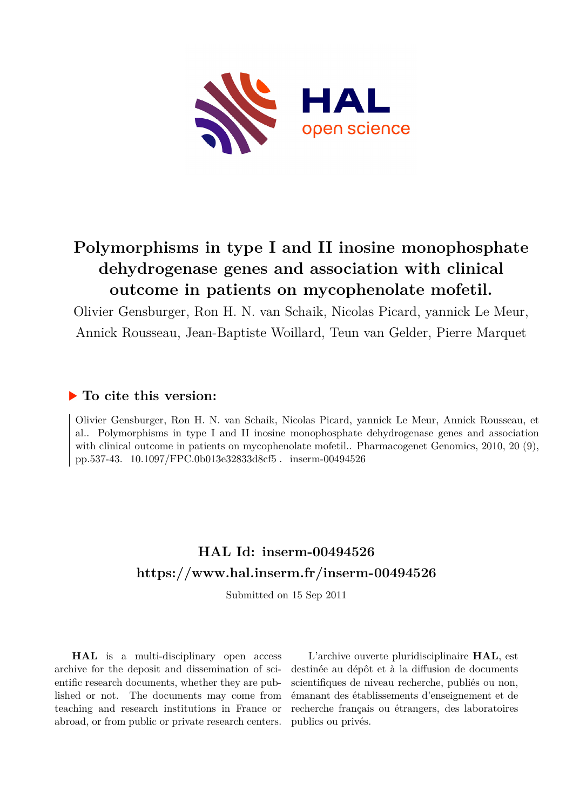

# **Polymorphisms in type I and II inosine monophosphate dehydrogenase genes and association with clinical outcome in patients on mycophenolate mofetil.**

Olivier Gensburger, Ron H. N. van Schaik, Nicolas Picard, yannick Le Meur, Annick Rousseau, Jean-Baptiste Woillard, Teun van Gelder, Pierre Marquet

# **To cite this version:**

Olivier Gensburger, Ron H. N. van Schaik, Nicolas Picard, yannick Le Meur, Annick Rousseau, et al.. Polymorphisms in type I and II inosine monophosphate dehydrogenase genes and association with clinical outcome in patients on mycophenolate mofetil.. Pharmacogenet Genomics, 2010, 20 (9), pp.537-43. 10.1097/FPC.0b013e32833d8cf5. inserm-00494526

# **HAL Id: inserm-00494526 <https://www.hal.inserm.fr/inserm-00494526>**

Submitted on 15 Sep 2011

**HAL** is a multi-disciplinary open access archive for the deposit and dissemination of scientific research documents, whether they are published or not. The documents may come from teaching and research institutions in France or abroad, or from public or private research centers.

L'archive ouverte pluridisciplinaire **HAL**, est destinée au dépôt et à la diffusion de documents scientifiques de niveau recherche, publiés ou non, émanant des établissements d'enseignement et de recherche français ou étrangers, des laboratoires publics ou privés.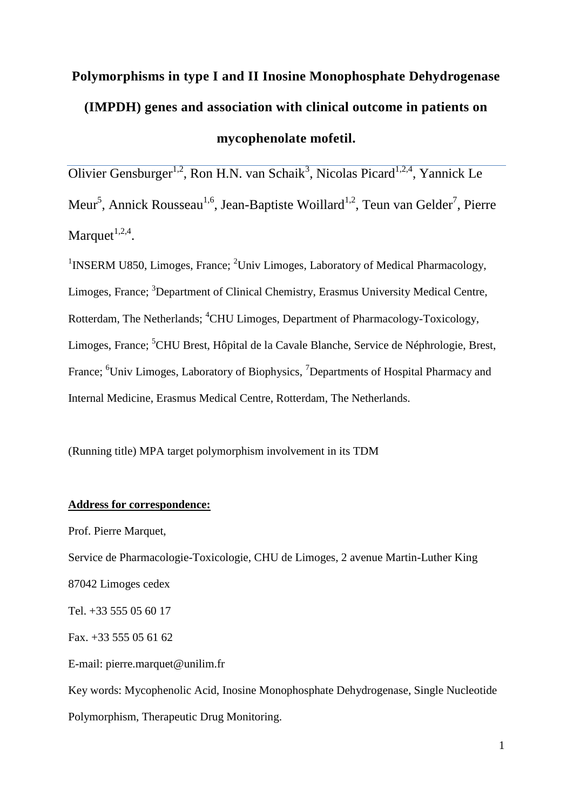# **Polymorphisms in type I and II Inosine Monophosphate Dehydrogenase (IMPDH) genes and association with clinical outcome in patients on mycophenolate mofetil.**

Olivier Gensburger<sup>1,2</sup>, Ron H.N. van Schaik<sup>3</sup>, Nicolas Picard<sup>1,2,4</sup>, Yannick Le Meur<sup>5</sup>, Annick Rousseau<sup>1,6</sup>, Jean-Baptiste Woillard<sup>1,2</sup>, Teun van Gelder<sup>7</sup>, Pierre Marquet $^{1,2,4}$ .

<sup>1</sup>INSERM U850, Limoges, France; <sup>2</sup>Univ Limoges, Laboratory of Medical Pharmacology, Limoges, France; <sup>3</sup>Department of Clinical Chemistry, Erasmus University Medical Centre, Rotterdam, The Netherlands; <sup>4</sup>CHU Limoges, Department of Pharmacology-Toxicology, Limoges, France; <sup>5</sup>CHU Brest, Hôpital de la Cavale Blanche, Service de Néphrologie, Brest, France; <sup>6</sup>Univ Limoges, Laboratory of Biophysics, <sup>7</sup>Departments of Hospital Pharmacy and Internal Medicine, Erasmus Medical Centre, Rotterdam, The Netherlands.

(Running title) MPA target polymorphism involvement in its TDM

## **Address for correspondence:**

Prof. Pierre Marquet,

Service de Pharmacologie-Toxicologie, CHU de Limoges, 2 avenue Martin-Luther King

87042 Limoges cedex

Tel. +33 555 05 60 17

Fax. +33 555 05 61 62

E-mail: pierre.marquet@unilim.fr

Key words: Mycophenolic Acid, Inosine Monophosphate Dehydrogenase, Single Nucleotide Polymorphism, Therapeutic Drug Monitoring.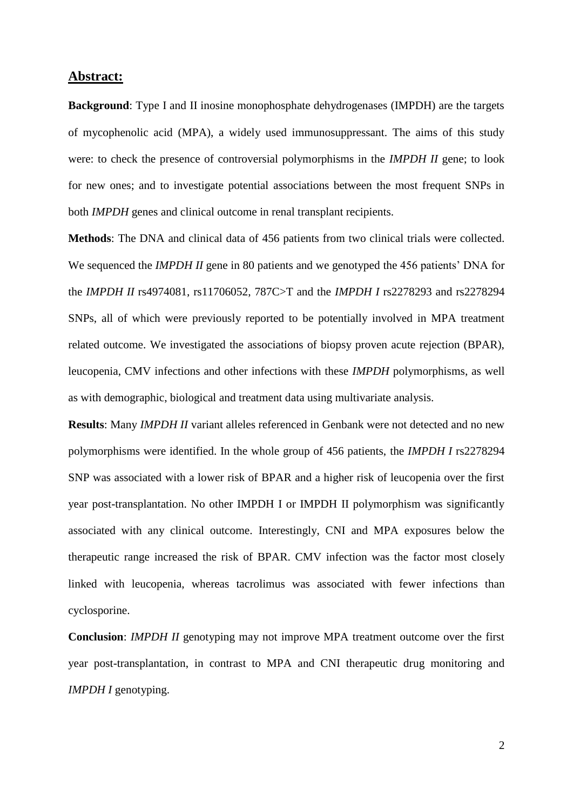#### **Abstract:**

**Background**: Type I and II inosine monophosphate dehydrogenases (IMPDH) are the targets of mycophenolic acid (MPA), a widely used immunosuppressant. The aims of this study were: to check the presence of controversial polymorphisms in the *IMPDH II* gene; to look for new ones; and to investigate potential associations between the most frequent SNPs in both *IMPDH* genes and clinical outcome in renal transplant recipients.

**Methods**: The DNA and clinical data of 456 patients from two clinical trials were collected. We sequenced the *IMPDH II* gene in 80 patients and we genotyped the 456 patients' DNA for the *IMPDH II* rs4974081, rs11706052, 787C>T and the *IMPDH I* rs2278293 and rs2278294 SNPs, all of which were previously reported to be potentially involved in MPA treatment related outcome. We investigated the associations of biopsy proven acute rejection (BPAR), leucopenia, CMV infections and other infections with these *IMPDH* polymorphisms, as well as with demographic, biological and treatment data using multivariate analysis.

**Results**: Many *IMPDH II* variant alleles referenced in Genbank were not detected and no new polymorphisms were identified. In the whole group of 456 patients, the *IMPDH I* rs2278294 SNP was associated with a lower risk of BPAR and a higher risk of leucopenia over the first year post-transplantation. No other IMPDH I or IMPDH II polymorphism was significantly associated with any clinical outcome. Interestingly, CNI and MPA exposures below the therapeutic range increased the risk of BPAR. CMV infection was the factor most closely linked with leucopenia, whereas tacrolimus was associated with fewer infections than cyclosporine.

**Conclusion**: *IMPDH II* genotyping may not improve MPA treatment outcome over the first year post-transplantation, in contrast to MPA and CNI therapeutic drug monitoring and *IMPDH I* genotyping.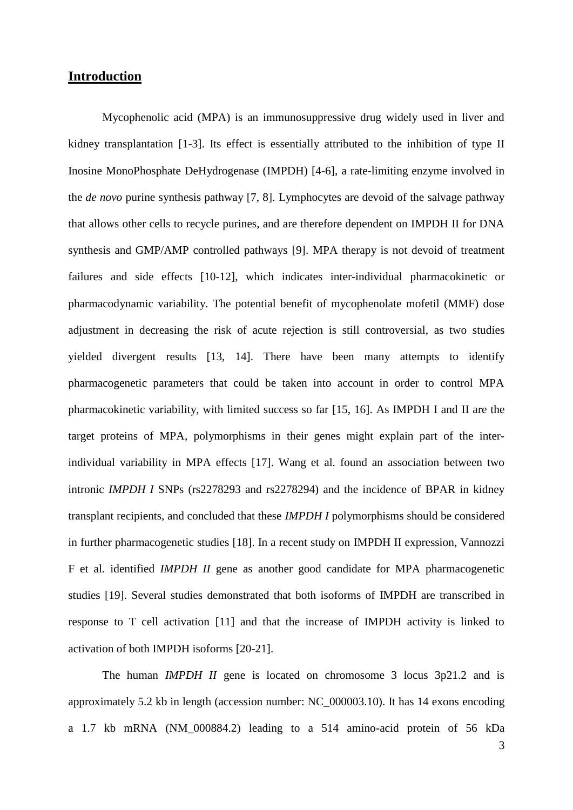# **Introduction**

Mycophenolic acid (MPA) is an immunosuppressive drug widely used in liver and kidney transplantation [1-3]. Its effect is essentially attributed to the inhibition of type II Inosine MonoPhosphate DeHydrogenase (IMPDH) [4-6], a rate-limiting enzyme involved in the *de novo* purine synthesis pathway [7, 8]. Lymphocytes are devoid of the salvage pathway that allows other cells to recycle purines, and are therefore dependent on IMPDH II for DNA synthesis and GMP/AMP controlled pathways [9]. MPA therapy is not devoid of treatment failures and side effects [10-12], which indicates inter-individual pharmacokinetic or pharmacodynamic variability. The potential benefit of mycophenolate mofetil (MMF) dose adjustment in decreasing the risk of acute rejection is still controversial, as two studies yielded divergent results [13, 14]. There have been many attempts to identify pharmacogenetic parameters that could be taken into account in order to control MPA pharmacokinetic variability, with limited success so far [15, 16]. As IMPDH I and II are the target proteins of MPA, polymorphisms in their genes might explain part of the interindividual variability in MPA effects [17]. Wang et al. found an association between two intronic *IMPDH I* SNPs (rs2278293 and rs2278294) and the incidence of BPAR in kidney transplant recipients, and concluded that these *IMPDH I* polymorphisms should be considered in further pharmacogenetic studies [18]. In a recent study on IMPDH II expression, Vannozzi F et al. identified *IMPDH II* gene as another good candidate for MPA pharmacogenetic studies [19]. Several studies demonstrated that both isoforms of IMPDH are transcribed in response to T cell activation [11] and that the increase of IMPDH activity is linked to activation of both IMPDH isoforms [20-21].

The human *IMPDH II* gene is located on chromosome 3 locus 3p21.2 and is approximately 5.2 kb in length (accession number: NC\_000003.10). It has 14 exons encoding a 1.7 kb mRNA (NM\_000884.2) leading to a 514 amino-acid protein of 56 kDa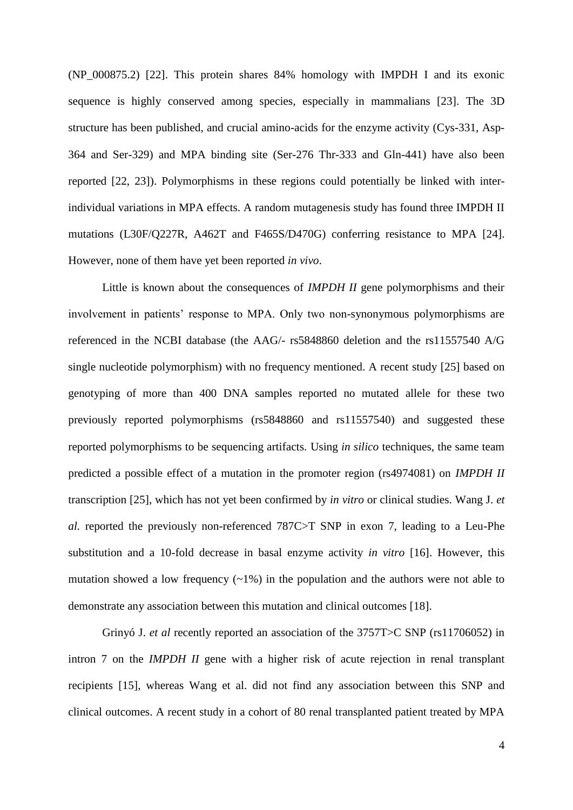(NP\_000875.2) [22]. This protein shares 84% homology with IMPDH I and its exonic sequence is highly conserved among species, especially in mammalians [23]. The 3D structure has been published, and crucial amino-acids for the enzyme activity (Cys-331, Asp-364 and Ser-329) and MPA binding site (Ser-276 Thr-333 and Gln-441) have also been reported [22, 23]). Polymorphisms in these regions could potentially be linked with interindividual variations in MPA effects. A random mutagenesis study has found three IMPDH II mutations (L30F/Q227R, A462T and F465S/D470G) conferring resistance to MPA [24]. However, none of them have yet been reported *in vivo*.

Little is known about the consequences of *IMPDH II* gene polymorphisms and their involvement in patients' response to MPA. Only two non-synonymous polymorphisms are referenced in the NCBI database (the AAG/- rs5848860 deletion and the rs11557540 A/G single nucleotide polymorphism) with no frequency mentioned. A recent study [25] based on genotyping of more than 400 DNA samples reported no mutated allele for these two previously reported polymorphisms (rs5848860 and rs11557540) and suggested these reported polymorphisms to be sequencing artifacts. Using *in silico* techniques, the same team predicted a possible effect of a mutation in the promoter region (rs4974081) on *IMPDH II* transcription [25], which has not yet been confirmed by *in vitro* or clinical studies. Wang J. *et al.* reported the previously non-referenced 787C>T SNP in exon 7, leading to a Leu-Phe substitution and a 10-fold decrease in basal enzyme activity *in vitro* [16]. However, this mutation showed a low frequency  $(-1\%)$  in the population and the authors were not able to demonstrate any association between this mutation and clinical outcomes [18].

Grinyó J. *et al* recently reported an association of the 3757T>C SNP (rs11706052) in intron 7 on the *IMPDH II* gene with a higher risk of acute rejection in renal transplant recipients [15], whereas Wang et al. did not find any association between this SNP and clinical outcomes. A recent study in a cohort of 80 renal transplanted patient treated by MPA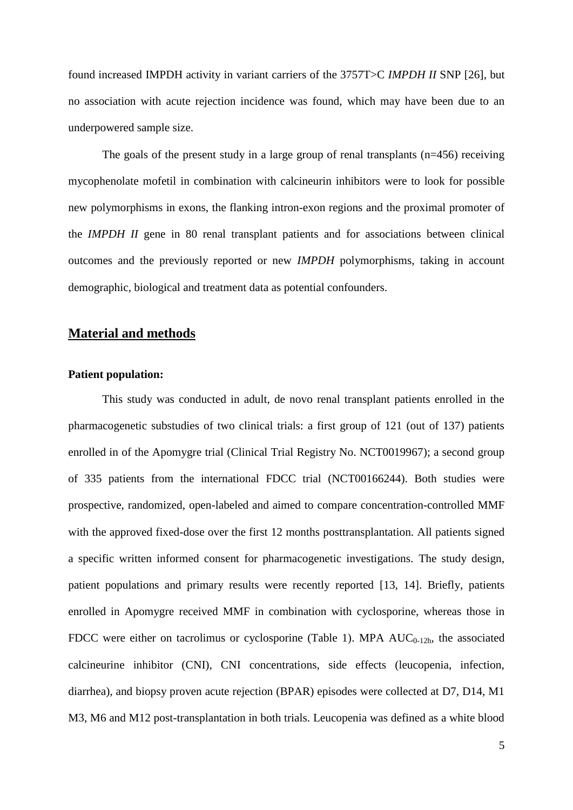found increased IMPDH activity in variant carriers of the 3757T>C *IMPDH II* SNP [26], but no association with acute rejection incidence was found, which may have been due to an underpowered sample size.

The goals of the present study in a large group of renal transplants (n=456) receiving mycophenolate mofetil in combination with calcineurin inhibitors were to look for possible new polymorphisms in exons, the flanking intron-exon regions and the proximal promoter of the *IMPDH II* gene in 80 renal transplant patients and for associations between clinical outcomes and the previously reported or new *IMPDH* polymorphisms, taking in account demographic, biological and treatment data as potential confounders.

## **Material and methods**

#### **Patient population:**

This study was conducted in adult, de novo renal transplant patients enrolled in the pharmacogenetic substudies of two clinical trials: a first group of 121 (out of 137) patients enrolled in of the Apomygre trial (Clinical Trial Registry No. NCT0019967); a second group of 335 patients from the international FDCC trial (NCT00166244). Both studies were prospective, randomized, open-labeled and aimed to compare concentration-controlled MMF with the approved fixed-dose over the first 12 months posttransplantation. All patients signed a specific written informed consent for pharmacogenetic investigations. The study design, patient populations and primary results were recently reported [13, 14]. Briefly, patients enrolled in Apomygre received MMF in combination with cyclosporine, whereas those in FDCC were either on tacrolimus or cyclosporine (Table 1). MPA  $AUC_{0-12h}$ , the associated calcineurine inhibitor (CNI), CNI concentrations, side effects (leucopenia, infection, diarrhea), and biopsy proven acute rejection (BPAR) episodes were collected at D7, D14, M1 M3, M6 and M12 post-transplantation in both trials. Leucopenia was defined as a white blood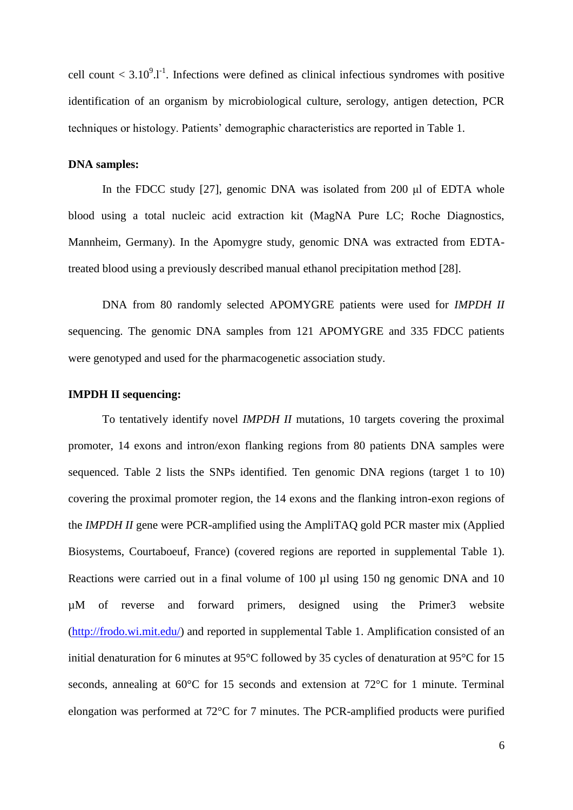cell count  $\langle 3.10^9 \cdot 1 \rangle$ . Infections were defined as clinical infectious syndromes with positive identification of an organism by microbiological culture, serology, antigen detection, PCR techniques or histology. Patients' demographic characteristics are reported in Table 1.

#### **DNA samples:**

In the FDCC study [27], genomic DNA was isolated from 200 μl of EDTA whole blood using a total nucleic acid extraction kit (MagNA Pure LC; Roche Diagnostics, Mannheim, Germany). In the Apomygre study, genomic DNA was extracted from EDTAtreated blood using a previously described manual ethanol precipitation method [28].

DNA from 80 randomly selected APOMYGRE patients were used for *IMPDH II* sequencing. The genomic DNA samples from 121 APOMYGRE and 335 FDCC patients were genotyped and used for the pharmacogenetic association study.

#### **IMPDH II sequencing:**

To tentatively identify novel *IMPDH II* mutations, 10 targets covering the proximal promoter, 14 exons and intron/exon flanking regions from 80 patients DNA samples were sequenced. Table 2 lists the SNPs identified. Ten genomic DNA regions (target 1 to 10) covering the proximal promoter region, the 14 exons and the flanking intron-exon regions of the *IMPDH II* gene were PCR-amplified using the AmpliTAQ gold PCR master mix (Applied Biosystems, Courtaboeuf, France) (covered regions are reported in supplemental Table 1). Reactions were carried out in a final volume of 100 µl using 150 ng genomic DNA and 10 µM of reverse and forward primers, designed using the Primer3 website [\(http://frodo.wi.mit.edu/\)](http://frodo.wi.mit.edu/) and reported in supplemental Table 1. Amplification consisted of an initial denaturation for 6 minutes at 95°C followed by 35 cycles of denaturation at 95°C for 15 seconds, annealing at 60°C for 15 seconds and extension at 72°C for 1 minute. Terminal elongation was performed at 72°C for 7 minutes. The PCR-amplified products were purified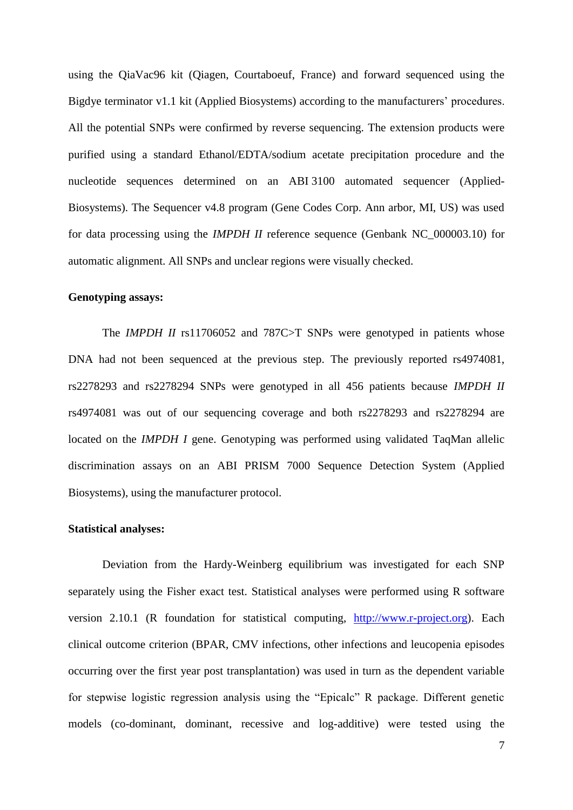using the QiaVac96 kit (Qiagen, Courtaboeuf, France) and forward sequenced using the Bigdye terminator v1.1 kit (Applied Biosystems) according to the manufacturers' procedures. All the potential SNPs were confirmed by reverse sequencing. The extension products were purified using a standard Ethanol/EDTA/sodium acetate precipitation procedure and the nucleotide sequences determined on an ABI 3100 automated sequencer (Applied-Biosystems). The Sequencer v4.8 program (Gene Codes Corp. Ann arbor, MI, US) was used for data processing using the *IMPDH II* reference sequence (Genbank NC\_000003.10) for automatic alignment. All SNPs and unclear regions were visually checked.

#### **Genotyping assays:**

The *IMPDH II* rs11706052 and 787C>T SNPs were genotyped in patients whose DNA had not been sequenced at the previous step. The previously reported rs4974081, rs2278293 and rs2278294 SNPs were genotyped in all 456 patients because *IMPDH II* rs4974081 was out of our sequencing coverage and both rs2278293 and rs2278294 are located on the *IMPDH I* gene. Genotyping was performed using validated TaqMan allelic discrimination assays on an ABI PRISM 7000 Sequence Detection System (Applied Biosystems), using the manufacturer protocol.

#### **Statistical analyses:**

Deviation from the Hardy-Weinberg equilibrium was investigated for each SNP separately using the Fisher exact test. Statistical analyses were performed using R software version 2.10.1 (R foundation for statistical computing, [http://www.r-project.org\)](http://www.r-project.org/). Each clinical outcome criterion (BPAR, CMV infections, other infections and leucopenia episodes occurring over the first year post transplantation) was used in turn as the dependent variable for stepwise logistic regression analysis using the "Epicalc" R package. Different genetic models (co-dominant, dominant, recessive and log-additive) were tested using the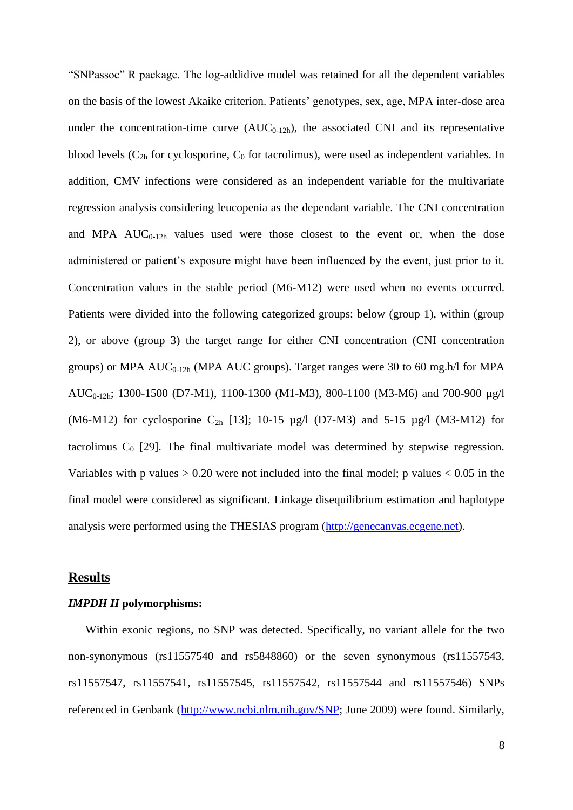"SNPassoc" R package. The log-addidive model was retained for all the dependent variables on the basis of the lowest Akaike criterion. Patients' genotypes, sex, age, MPA inter-dose area under the concentration-time curve  $(AUC_{0-12h})$ , the associated CNI and its representative blood levels  $(C_{2h}$  for cyclosporine,  $C_0$  for tacrolimus), were used as independent variables. In addition, CMV infections were considered as an independent variable for the multivariate regression analysis considering leucopenia as the dependant variable. The CNI concentration and MPA  $AUC_{0-12h}$  values used were those closest to the event or, when the dose administered or patient's exposure might have been influenced by the event, just prior to it. Concentration values in the stable period (M6-M12) were used when no events occurred. Patients were divided into the following categorized groups: below (group 1), within (group 2), or above (group 3) the target range for either CNI concentration (CNI concentration groups) or MPA  $AUC_{0-12h}$  (MPA AUC groups). Target ranges were 30 to 60 mg.h/l for MPA AUC<sub>0-12h</sub>; 1300-1500 (D7-M1), 1100-1300 (M1-M3), 800-1100 (M3-M6) and 700-900 µg/l (M6-M12) for cyclosporine C<sub>2h</sub> [13]; 10-15  $\mu$ g/l (D7-M3) and 5-15  $\mu$ g/l (M3-M12) for tacrolimus  $C_0$  [29]. The final multivariate model was determined by stepwise regression. Variables with p values  $> 0.20$  were not included into the final model; p values  $< 0.05$  in the final model were considered as significant. Linkage disequilibrium estimation and haplotype analysis were performed using the THESIAS program [\(http://genecanvas.ecgene.net\)](http://genecanvas.ecgene.net/).

#### **Results**

#### *IMPDH II* **polymorphisms:**

Within exonic regions, no SNP was detected. Specifically, no variant allele for the two non-synonymous (rs11557540 and rs5848860) or the seven synonymous (rs11557543, rs11557547, rs11557541, rs11557545, rs11557542, rs11557544 and rs11557546) SNPs referenced in Genbank [\(http://www.ncbi.nlm.nih.gov/SNP;](http://www.ncbi.nlm.nih.gov/SNP) June 2009) were found. Similarly,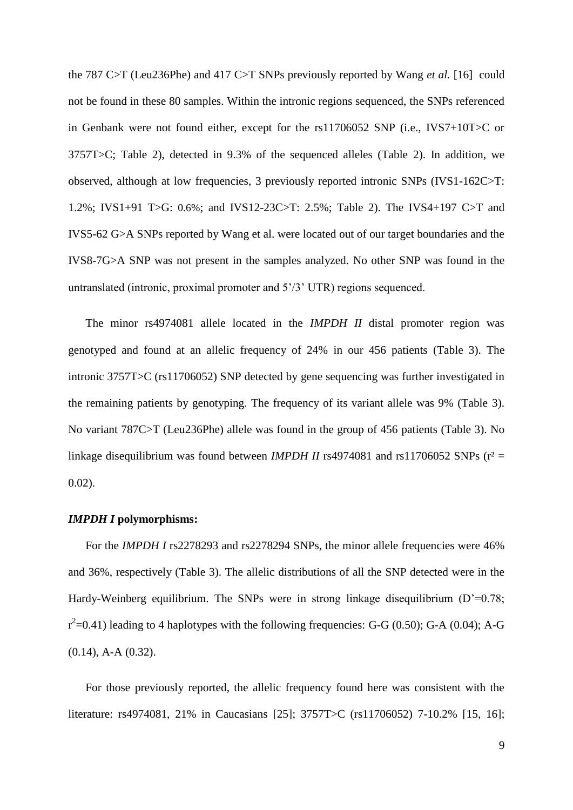the 787 C>T (Leu236Phe) and 417 C>T SNPs previously reported by Wang *et al.* [16] could not be found in these 80 samples. Within the intronic regions sequenced, the SNPs referenced in Genbank were not found either, except for the rs11706052 SNP (i.e., IVS7+10T>C or 3757T>C; Table 2), detected in 9.3% of the sequenced alleles (Table 2). In addition, we observed, although at low frequencies, 3 previously reported intronic SNPs (IVS1-162C>T: 1.2%; IVS1+91 T>G: 0.6%; and IVS12-23C>T: 2.5%; Table 2). The IVS4+197 C>T and IVS5-62 G>A SNPs reported by Wang et al. were located out of our target boundaries and the IVS8-7G>A SNP was not present in the samples analyzed. No other SNP was found in the untranslated (intronic, proximal promoter and 5'/3' UTR) regions sequenced.

The minor rs4974081 allele located in the *IMPDH II* distal promoter region was genotyped and found at an allelic frequency of 24% in our 456 patients (Table 3). The intronic 3757T>C (rs11706052) SNP detected by gene sequencing was further investigated in the remaining patients by genotyping. The frequency of its variant allele was 9% (Table 3). No variant 787C>T (Leu236Phe) allele was found in the group of 456 patients (Table 3). No linkage disequilibrium was found between *IMPDH II* rs4974081 and rs11706052 SNPs ( $r^2$  = 0.02).

#### *IMPDH I* **polymorphisms:**

For the *IMPDH I* rs2278293 and rs2278294 SNPs, the minor allele frequencies were 46% and 36%, respectively (Table 3). The allelic distributions of all the SNP detected were in the Hardy-Weinberg equilibrium. The SNPs were in strong linkage disequilibrium  $(D'=0.78)$ ;  $r^2$ =0.41) leading to 4 haplotypes with the following frequencies: G-G (0.50); G-A (0.04); A-G (0.14), A-A (0.32).

For those previously reported, the allelic frequency found here was consistent with the literature: rs4974081, 21% in Caucasians [25]; 3757T>C (rs11706052) 7-10.2% [15, 16];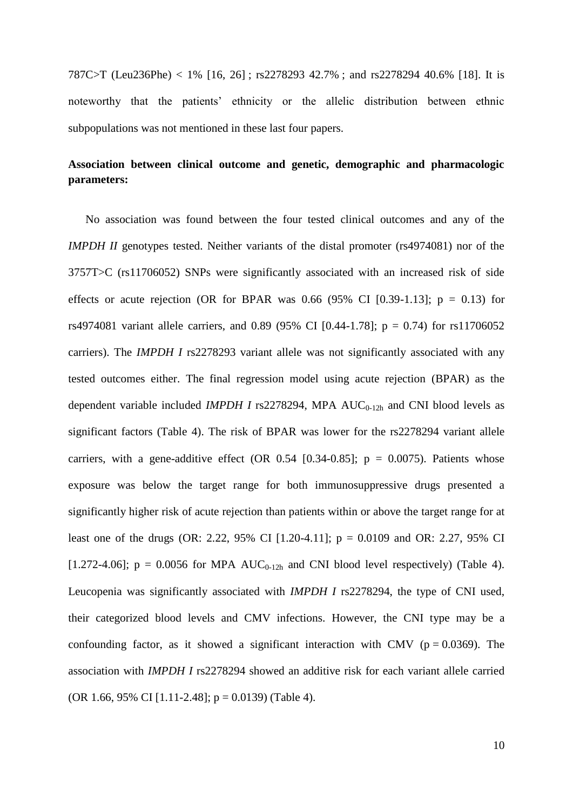787C>T (Leu236Phe) < 1% [16, 26] ; rs2278293 42.7% ; and rs2278294 40.6% [18]. It is noteworthy that the patients' ethnicity or the allelic distribution between ethnic subpopulations was not mentioned in these last four papers.

# **Association between clinical outcome and genetic, demographic and pharmacologic parameters:**

No association was found between the four tested clinical outcomes and any of the *IMPDH II* genotypes tested. Neither variants of the distal promoter (rs4974081) nor of the 3757T>C (rs11706052) SNPs were significantly associated with an increased risk of side effects or acute rejection (OR for BPAR was 0.66  $(95\%$  CI [0.39-1.13]; p = 0.13) for rs4974081 variant allele carriers, and 0.89 (95% CI [0.44-1.78];  $p = 0.74$ ) for rs11706052 carriers). The *IMPDH I* rs2278293 variant allele was not significantly associated with any tested outcomes either. The final regression model using acute rejection (BPAR) as the dependent variable included *IMPDH I* rs2278294, MPA  $AUC_{0-12h}$  and CNI blood levels as significant factors (Table 4). The risk of BPAR was lower for the rs2278294 variant allele carriers, with a gene-additive effect (OR  $0.54$  [0.34-0.85]; p = 0.0075). Patients whose exposure was below the target range for both immunosuppressive drugs presented a significantly higher risk of acute rejection than patients within or above the target range for at least one of the drugs (OR: 2.22, 95% CI [1.20-4.11]; p = 0.0109 and OR: 2.27, 95% CI [1.272-4.06];  $p = 0.0056$  for MPA AUC<sub>0-12h</sub> and CNI blood level respectively) (Table 4). Leucopenia was significantly associated with *IMPDH I* rs2278294, the type of CNI used, their categorized blood levels and CMV infections. However, the CNI type may be a confounding factor, as it showed a significant interaction with CMV ( $p = 0.0369$ ). The association with *IMPDH I* rs2278294 showed an additive risk for each variant allele carried (OR 1.66, 95% CI [1.11-2.48];  $p = 0.0139$ ) (Table 4).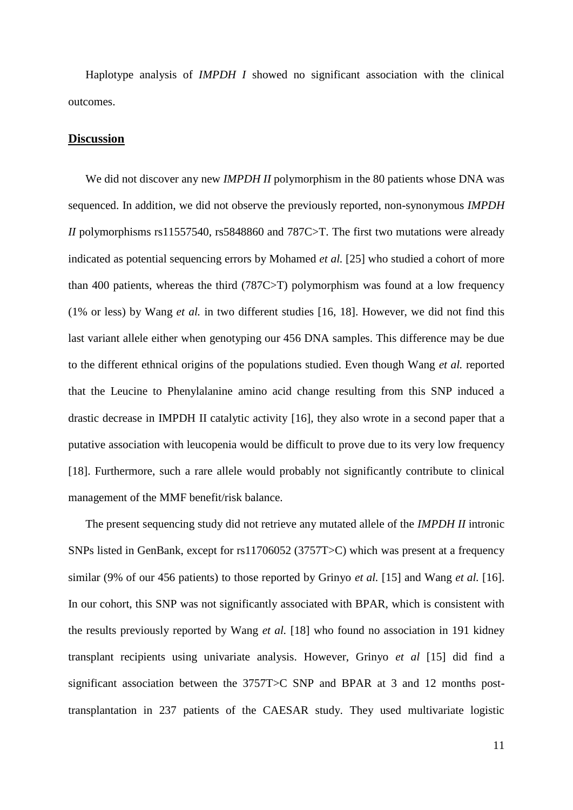Haplotype analysis of *IMPDH I* showed no significant association with the clinical outcomes.

#### **Discussion**

We did not discover any new *IMPDH II* polymorphism in the 80 patients whose DNA was sequenced. In addition, we did not observe the previously reported, non-synonymous *IMPDH II* polymorphisms rs11557540, rs5848860 and 787C>T. The first two mutations were already indicated as potential sequencing errors by Mohamed *et al.* [25] who studied a cohort of more than 400 patients, whereas the third (787C>T) polymorphism was found at a low frequency (1% or less) by Wang *et al.* in two different studies [16, 18]. However, we did not find this last variant allele either when genotyping our 456 DNA samples. This difference may be due to the different ethnical origins of the populations studied. Even though Wang *et al.* reported that the Leucine to Phenylalanine amino acid change resulting from this SNP induced a drastic decrease in IMPDH II catalytic activity [16], they also wrote in a second paper that a putative association with leucopenia would be difficult to prove due to its very low frequency [18]. Furthermore, such a rare allele would probably not significantly contribute to clinical management of the MMF benefit/risk balance.

The present sequencing study did not retrieve any mutated allele of the *IMPDH II* intronic SNPs listed in GenBank, except for rs11706052 (3757T>C) which was present at a frequency similar (9% of our 456 patients) to those reported by Grinyo *et al.* [15] and Wang *et al.* [16]. In our cohort, this SNP was not significantly associated with BPAR, which is consistent with the results previously reported by Wang *et al.* [18] who found no association in 191 kidney transplant recipients using univariate analysis. However, Grinyo *et al* [15] did find a significant association between the 3757T>C SNP and BPAR at 3 and 12 months posttransplantation in 237 patients of the CAESAR study. They used multivariate logistic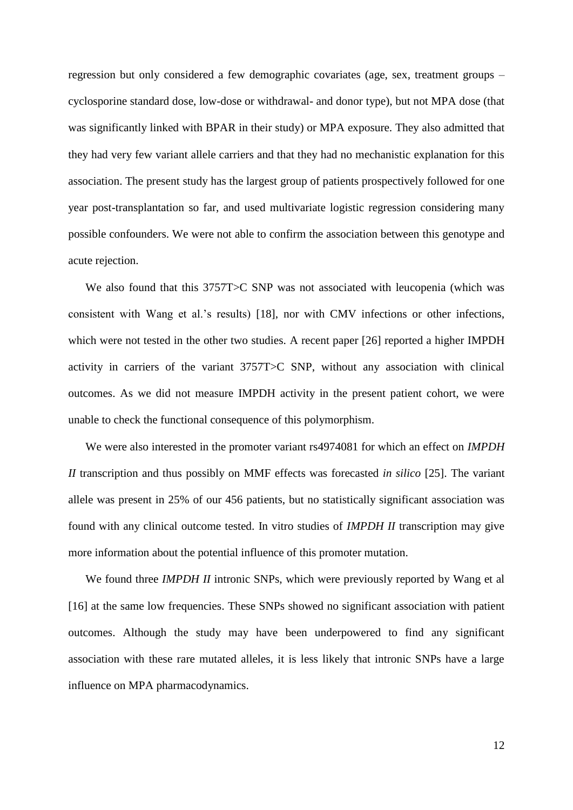regression but only considered a few demographic covariates (age, sex, treatment groups – cyclosporine standard dose, low-dose or withdrawal- and donor type), but not MPA dose (that was significantly linked with BPAR in their study) or MPA exposure. They also admitted that they had very few variant allele carriers and that they had no mechanistic explanation for this association. The present study has the largest group of patients prospectively followed for one year post-transplantation so far, and used multivariate logistic regression considering many possible confounders. We were not able to confirm the association between this genotype and acute rejection.

We also found that this 3757T>C SNP was not associated with leucopenia (which was consistent with Wang et al.'s results) [18], nor with CMV infections or other infections, which were not tested in the other two studies. A recent paper [26] reported a higher IMPDH activity in carriers of the variant 3757T>C SNP, without any association with clinical outcomes. As we did not measure IMPDH activity in the present patient cohort, we were unable to check the functional consequence of this polymorphism.

We were also interested in the promoter variant rs4974081 for which an effect on *IMPDH II* transcription and thus possibly on MMF effects was forecasted *in silico* [25]. The variant allele was present in 25% of our 456 patients, but no statistically significant association was found with any clinical outcome tested. In vitro studies of *IMPDH II* transcription may give more information about the potential influence of this promoter mutation.

We found three *IMPDH II* intronic SNPs, which were previously reported by Wang et al [16] at the same low frequencies. These SNPs showed no significant association with patient outcomes. Although the study may have been underpowered to find any significant association with these rare mutated alleles, it is less likely that intronic SNPs have a large influence on MPA pharmacodynamics.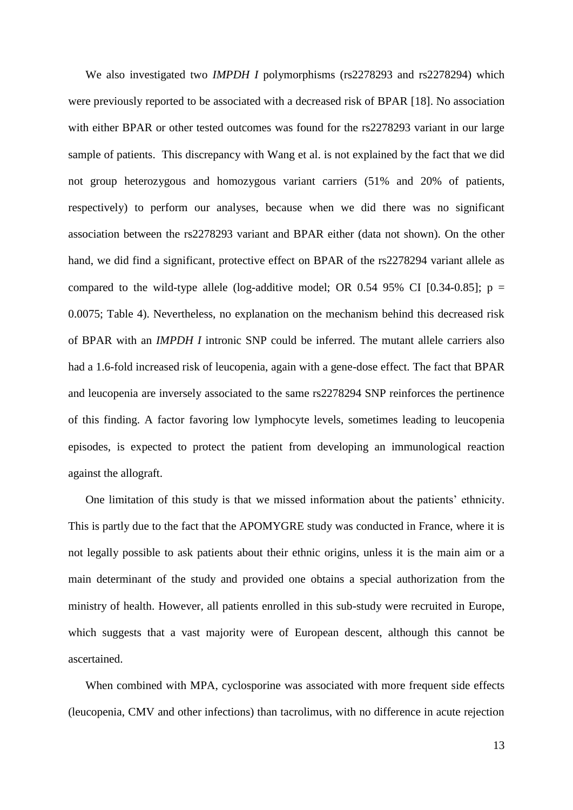We also investigated two *IMPDH I* polymorphisms (rs2278293 and rs2278294) which were previously reported to be associated with a decreased risk of BPAR [18]. No association with either BPAR or other tested outcomes was found for the rs2278293 variant in our large sample of patients. This discrepancy with Wang et al. is not explained by the fact that we did not group heterozygous and homozygous variant carriers (51% and 20% of patients, respectively) to perform our analyses, because when we did there was no significant association between the rs2278293 variant and BPAR either (data not shown). On the other hand, we did find a significant, protective effect on BPAR of the rs2278294 variant allele as compared to the wild-type allele (log-additive model; OR 0.54 95% CI [0.34-0.85];  $p =$ 0.0075; Table 4). Nevertheless, no explanation on the mechanism behind this decreased risk of BPAR with an *IMPDH I* intronic SNP could be inferred. The mutant allele carriers also had a 1.6-fold increased risk of leucopenia, again with a gene-dose effect. The fact that BPAR and leucopenia are inversely associated to the same rs2278294 SNP reinforces the pertinence of this finding. A factor favoring low lymphocyte levels, sometimes leading to leucopenia episodes, is expected to protect the patient from developing an immunological reaction against the allograft.

One limitation of this study is that we missed information about the patients' ethnicity. This is partly due to the fact that the APOMYGRE study was conducted in France, where it is not legally possible to ask patients about their ethnic origins, unless it is the main aim or a main determinant of the study and provided one obtains a special authorization from the ministry of health. However, all patients enrolled in this sub-study were recruited in Europe, which suggests that a vast majority were of European descent, although this cannot be ascertained.

When combined with MPA, cyclosporine was associated with more frequent side effects (leucopenia, CMV and other infections) than tacrolimus, with no difference in acute rejection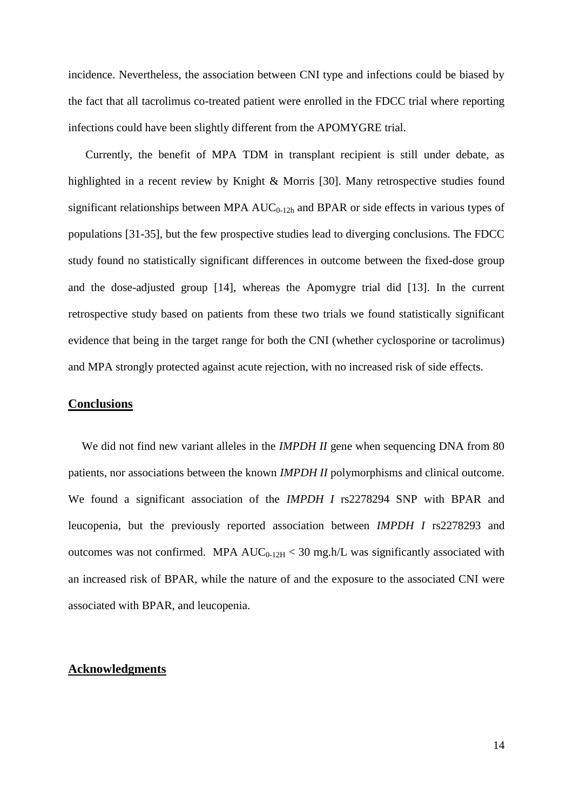incidence. Nevertheless, the association between CNI type and infections could be biased by the fact that all tacrolimus co-treated patient were enrolled in the FDCC trial where reporting infections could have been slightly different from the APOMYGRE trial.

Currently, the benefit of MPA TDM in transplant recipient is still under debate, as highlighted in a recent review by Knight & Morris [30]. Many retrospective studies found significant relationships between MPA  $AUC_{0-12h}$  and BPAR or side effects in various types of populations [31-35], but the few prospective studies lead to diverging conclusions. The FDCC study found no statistically significant differences in outcome between the fixed-dose group and the dose-adjusted group [14], whereas the Apomygre trial did [13]. In the current retrospective study based on patients from these two trials we found statistically significant evidence that being in the target range for both the CNI (whether cyclosporine or tacrolimus) and MPA strongly protected against acute rejection, with no increased risk of side effects.

#### **Conclusions**

We did not find new variant alleles in the *IMPDH II* gene when sequencing DNA from 80 patients, nor associations between the known *IMPDH II* polymorphisms and clinical outcome. We found a significant association of the *IMPDH I* rs2278294 SNP with BPAR and leucopenia, but the previously reported association between *IMPDH I* rs2278293 and outcomes was not confirmed. MPA  $AUC_{0-12H}$  < 30 mg.h/L was significantly associated with an increased risk of BPAR, while the nature of and the exposure to the associated CNI were associated with BPAR, and leucopenia.

#### **Acknowledgments**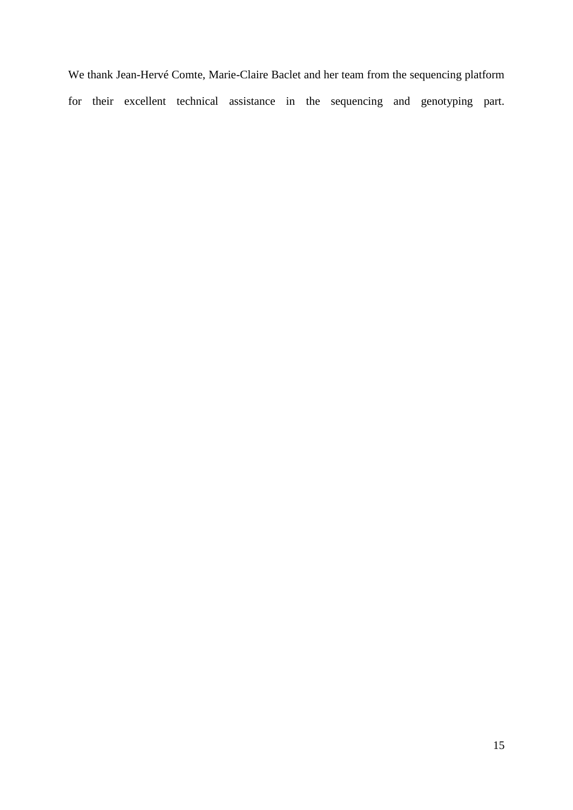We thank Jean-Hervé Comte, Marie-Claire Baclet and her team from the sequencing platform for their excellent technical assistance in the sequencing and genotyping part.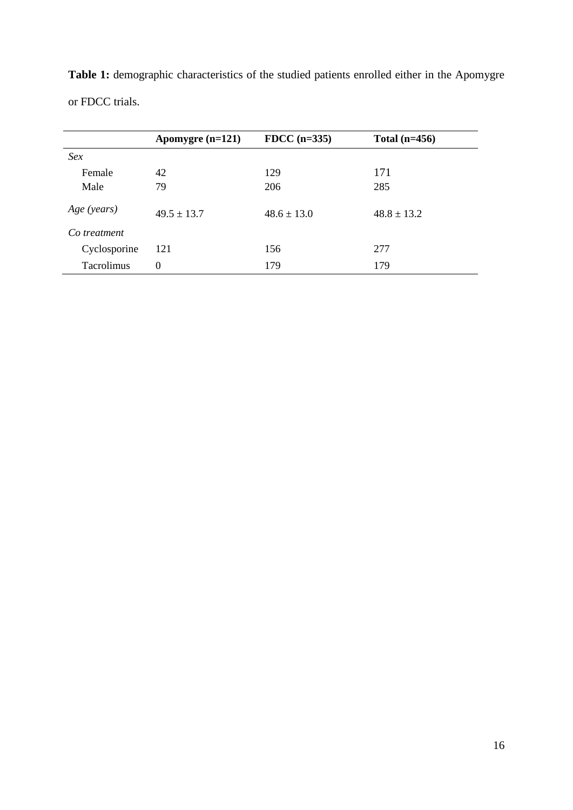|                   | Apomygre $(n=121)$ | FDCC $(n=335)$  | Total $(n=456)$ |  |
|-------------------|--------------------|-----------------|-----------------|--|
| Sex               |                    |                 |                 |  |
| Female            | 42                 | 129             | 171             |  |
| Male              | 79                 | 206             | 285             |  |
| Age (years)       | $49.5 \pm 13.7$    | $48.6 \pm 13.0$ | $48.8 \pm 13.2$ |  |
| Co treatment      |                    |                 |                 |  |
| Cyclosporine      | 121                | 156             | 277             |  |
| <b>Tacrolimus</b> | $\Omega$           | 179             | 179             |  |

**Table 1:** demographic characteristics of the studied patients enrolled either in the Apomygre or FDCC trials.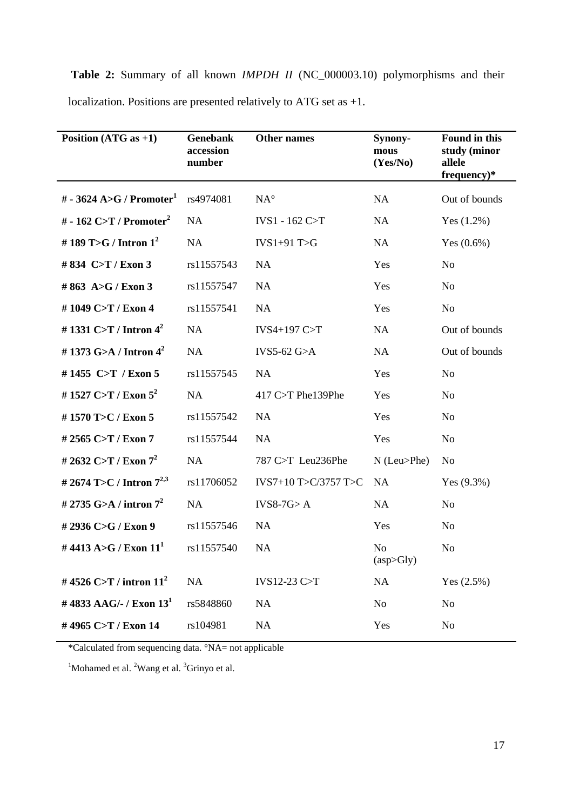**Table 2:** Summary of all known *IMPDH II* (NC\_000003.10) polymorphisms and their localization. Positions are presented relatively to ATG set as +1.

| Position $(ATG as +1)$               | Genebank<br>accession<br>number | <b>Other names</b>   | Synony-<br>mous<br>(Yes/No) | Found in this<br>study (minor<br>allele<br>$frequency)*$ |
|--------------------------------------|---------------------------------|----------------------|-----------------------------|----------------------------------------------------------|
| # - 3624 A>G / Promoter <sup>1</sup> | rs4974081                       | $NA^{\circ}$         | NA                          | Out of bounds                                            |
| # - 162 C>T / Promoter <sup>2</sup>  | NA                              | IVS1 - 162 C>T       | <b>NA</b>                   | Yes $(1.2%)$                                             |
| # 189 T>G / Intron $1^2$             | NA                              | $IVS1+91$ T>G        | <b>NA</b>                   | Yes $(0.6\%)$                                            |
| #834 C>T / Exon 3                    | rs11557543                      | NA                   | Yes                         | N <sub>o</sub>                                           |
| #863 A>G / Exon 3                    | rs11557547                      | <b>NA</b>            | Yes                         | N <sub>o</sub>                                           |
| #1049 C>T / Exon 4                   | rs11557541                      | <b>NA</b>            | Yes                         | N <sub>o</sub>                                           |
| # 1331 C>T / Intron $4^2$            | <b>NA</b>                       | IVS4+197 C>T         | <b>NA</b>                   | Out of bounds                                            |
| # 1373 G>A / Intron $4^2$            | <b>NA</b>                       | IVS5-62 $G>A$        | NA                          | Out of bounds                                            |
| #1455 C>T / Exon 5                   | rs11557545                      | <b>NA</b>            | Yes                         | N <sub>o</sub>                                           |
| #1527 C>T / Exon $5^2$               | <b>NA</b>                       | 417 C>T Phe139Phe    | Yes                         | N <sub>o</sub>                                           |
| #1570 T>C / Exon 5                   | rs11557542                      | <b>NA</b>            | Yes                         | N <sub>o</sub>                                           |
| #2565 C>T / Exon 7                   | rs11557544                      | <b>NA</b>            | Yes                         | N <sub>o</sub>                                           |
| # 2632 C>T / Exon $7^2$              | NA                              | 787 C>T Leu236Phe    | $N$ (Leu>Phe)               | No                                                       |
| # 2674 T>C / Intron $7^{2,3}$        | rs11706052                      | IVS7+10 T>C/3757 T>C | <b>NA</b>                   | Yes $(9.3%)$                                             |
| # 2735 G>A / intron $7^2$            | <b>NA</b>                       | $IVS8-7G > A$        | NA                          | N <sub>o</sub>                                           |
| #2936 C>G / Exon 9                   | rs11557546                      | <b>NA</b>            | Yes                         | N <sub>o</sub>                                           |
| #4413 A>G / Exon $111$               | rs11557540                      | <b>NA</b>            | N <sub>o</sub><br>(asp>Sly) | N <sub>o</sub>                                           |
| #4526 C>T / intron $11^2$            | NA                              | IVS12-23 C $>$ T     | NA                          | Yes $(2.5%)$                                             |
| #4833 AAG/- / Exon $13^1$            | rs5848860                       | NA                   | No                          | N <sub>o</sub>                                           |
| #4965 C>T / Exon 14                  | rs104981                        | NA                   | Yes                         | N <sub>o</sub>                                           |

\*Calculated from sequencing data. °NA= not applicable

<sup>1</sup>Mohamed et al.  $2$ Wang et al.  $3$ Grinyo et al.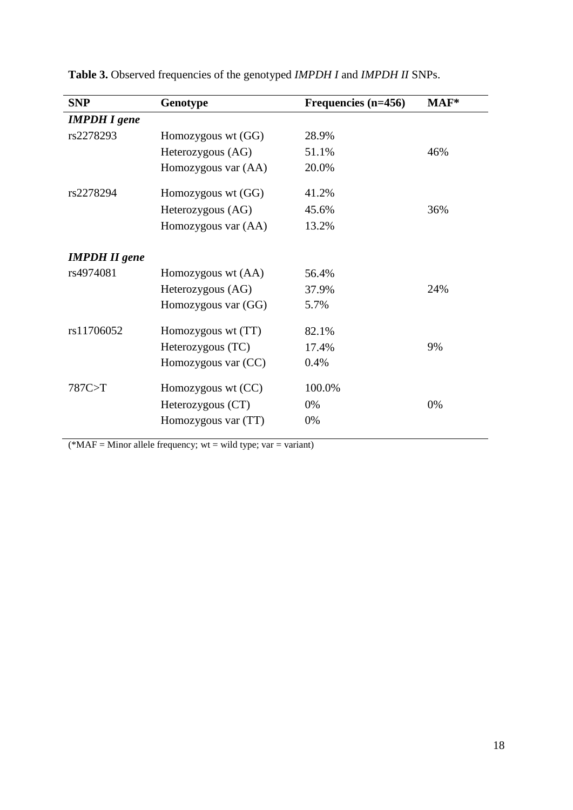| <b>SNP</b>           | Genotype            | Frequencies (n=456) | $MAF*$ |
|----------------------|---------------------|---------------------|--------|
| <b>IMPDH</b> I gene  |                     |                     |        |
| rs2278293            | Homozygous wt (GG)  | 28.9%               |        |
|                      | Heterozygous (AG)   | 51.1%               | 46%    |
|                      | Homozygous var (AA) | 20.0%               |        |
| rs2278294            | Homozygous wt (GG)  | 41.2%               |        |
|                      | Heterozygous (AG)   | 45.6%               | 36%    |
|                      | Homozygous var (AA) | 13.2%               |        |
| <b>IMPDH II</b> gene |                     |                     |        |
| rs4974081            | Homozygous wt (AA)  | 56.4%               |        |
|                      | Heterozygous (AG)   | 37.9%               | 24%    |
|                      | Homozygous var (GG) | 5.7%                |        |
| rs11706052           | Homozygous wt (TT)  | 82.1%               |        |
|                      | Heterozygous (TC)   | 17.4%               | 9%     |
|                      | Homozygous var (CC) | 0.4%                |        |
| 787C>T               | Homozygous wt (CC)  | 100.0%              |        |
|                      | Heterozygous (CT)   | 0%                  | 0%     |
|                      | Homozygous var (TT) | 0%                  |        |

**Table 3.** Observed frequencies of the genotyped *IMPDH I* and *IMPDH II* SNPs.

 $(*MAF = Minor allele frequency; wt = wild type; var = variant)$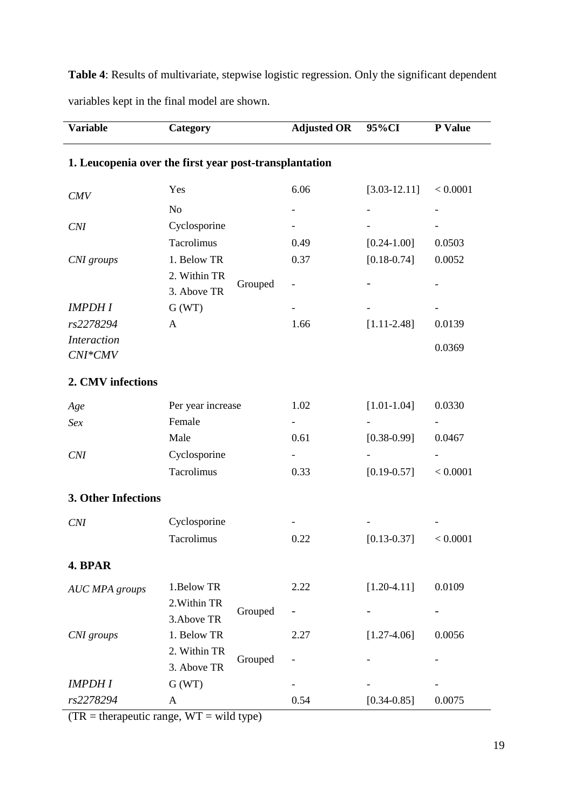| <b>Variable</b>               | Category                                               | <b>Adjusted OR</b>           | 95%CI            | P Value  |
|-------------------------------|--------------------------------------------------------|------------------------------|------------------|----------|
|                               | 1. Leucopenia over the first year post-transplantation |                              |                  |          |
| CMV                           | Yes                                                    | 6.06                         | $[3.03 - 12.11]$ | < 0.0001 |
|                               | N <sub>o</sub>                                         |                              |                  |          |
| CNI                           | Cyclosporine                                           |                              |                  |          |
|                               | Tacrolimus                                             | 0.49                         | $[0.24 - 1.00]$  | 0.0503   |
| CNI groups                    | 1. Below TR                                            | 0.37                         | $[0.18 - 0.74]$  | 0.0052   |
|                               | 2. Within TR<br>Grouped<br>3. Above TR                 | $\qquad \qquad \blacksquare$ |                  |          |
| <b>IMPDHI</b>                 | G(WT)                                                  |                              |                  |          |
| rs2278294                     | A                                                      | 1.66                         | $[1.11 - 2.48]$  | 0.0139   |
| <b>Interaction</b><br>CNI*CMV |                                                        |                              |                  | 0.0369   |
| 2. CMV infections             |                                                        |                              |                  |          |
| Age                           | Per year increase                                      | 1.02                         | $[1.01 - 1.04]$  | 0.0330   |
| Sex                           | Female                                                 |                              |                  |          |
|                               | Male                                                   | 0.61                         | $[0.38 - 0.99]$  | 0.0467   |
| CNI                           | Cyclosporine                                           |                              |                  |          |
|                               | Tacrolimus                                             | 0.33                         | $[0.19 - 0.57]$  | < 0.0001 |
| 3. Other Infections           |                                                        |                              |                  |          |
| <b>CNI</b>                    | Cyclosporine                                           |                              |                  |          |
|                               | Tacrolimus                                             | 0.22                         | $[0.13 - 0.37]$  | < 0.0001 |
| 4. BPAR                       |                                                        |                              |                  |          |
| <b>AUC MPA</b> groups         | 1.Below TR                                             | 2.22                         | $[1.20-4.11]$    | 0.0109   |
|                               | 2. Within TR<br>Grouped                                |                              |                  |          |
|                               | 3. Above TR                                            |                              |                  |          |
| CNI groups                    | 1. Below TR                                            | 2.27                         | $[1.27 - 4.06]$  | 0.0056   |
|                               | 2. Within TR<br>Grouped                                |                              |                  |          |
|                               | 3. Above TR                                            |                              |                  |          |
| <b>IMPDHI</b><br>rs2278294    | G(WT)                                                  |                              |                  |          |
|                               | A                                                      | 0.54                         | $[0.34 - 0.85]$  | 0.0075   |

**Table 4**: Results of multivariate, stepwise logistic regression. Only the significant dependent variables kept in the final model are shown.

 $\overline{(TR = \text{therapective range}, WT = \text{wild type})}$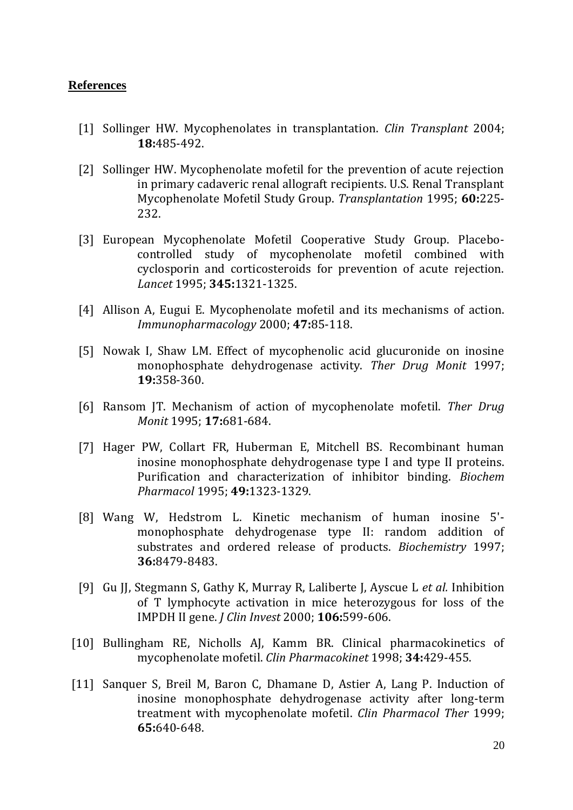## **References**

- [1] Sollinger HW. Mycophenolates in transplantation. *Clin Transplant* 2004; **18:**485-492.
- [2] Sollinger HW. Mycophenolate mofetil for the prevention of acute rejection in primary cadaveric renal allograft recipients. U.S. Renal Transplant Mycophenolate Mofetil Study Group. *Transplantation* 1995; **60:**225- 232.
- [3] European Mycophenolate Mofetil Cooperative Study Group. Placebocontrolled study of mycophenolate mofetil combined with cyclosporin and corticosteroids for prevention of acute rejection. *Lancet* 1995; **345:**1321-1325.
- [4] Allison A, Eugui E. Mycophenolate mofetil and its mechanisms of action. *Immunopharmacology* 2000; **47:**85-118.
- [5] Nowak I, Shaw LM. Effect of mycophenolic acid glucuronide on inosine monophosphate dehydrogenase activity. *Ther Drug Monit* 1997; **19:**358-360.
- [6] Ransom JT. Mechanism of action of mycophenolate mofetil. *Ther Drug Monit* 1995; **17:**681-684.
- [7] Hager PW, Collart FR, Huberman E, Mitchell BS. Recombinant human inosine monophosphate dehydrogenase type I and type II proteins. Purification and characterization of inhibitor binding. *Biochem Pharmacol* 1995; **49:**1323-1329.
- [8] Wang W, Hedstrom L. Kinetic mechanism of human inosine 5' monophosphate dehydrogenase type II: random addition of substrates and ordered release of products. *Biochemistry* 1997; **36:**8479-8483.
- [9] Gu JJ, Stegmann S, Gathy K, Murray R, Laliberte J, Ayscue L *et al.* Inhibition of T lymphocyte activation in mice heterozygous for loss of the IMPDH II gene. *J Clin Invest* 2000; **106:**599-606.
- [10] Bullingham RE, Nicholls AJ, Kamm BR. Clinical pharmacokinetics of mycophenolate mofetil. *Clin Pharmacokinet* 1998; **34:**429-455.
- [11] Sanquer S, Breil M, Baron C, Dhamane D, Astier A, Lang P. Induction of inosine monophosphate dehydrogenase activity after long-term treatment with mycophenolate mofetil. *Clin Pharmacol Ther* 1999; **65:**640-648.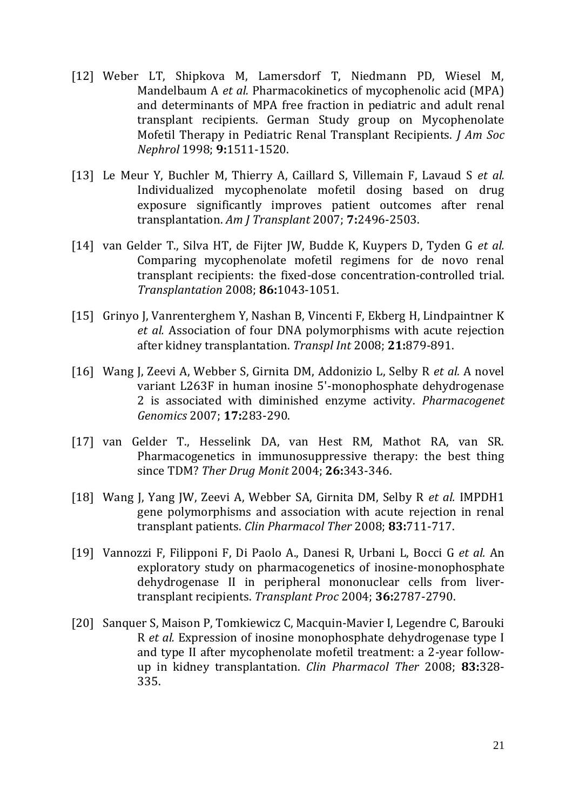- [12] Weber LT, Shipkova M, Lamersdorf T, Niedmann PD, Wiesel M, Mandelbaum A *et al.* Pharmacokinetics of mycophenolic acid (MPA) and determinants of MPA free fraction in pediatric and adult renal transplant recipients. German Study group on Mycophenolate Mofetil Therapy in Pediatric Renal Transplant Recipients. *J Am Soc Nephrol* 1998; **9:**1511-1520.
- [13] Le Meur Y, Buchler M, Thierry A, Caillard S, Villemain F, Lavaud S *et al.* Individualized mycophenolate mofetil dosing based on drug exposure significantly improves patient outcomes after renal transplantation. *Am J Transplant* 2007; **7:**2496-2503.
- [14] van Gelder T., Silva HT, de Fijter JW, Budde K, Kuypers D, Tyden G *et al.* Comparing mycophenolate mofetil regimens for de novo renal transplant recipients: the fixed-dose concentration-controlled trial. *Transplantation* 2008; **86:**1043-1051.
- [15] Grinyo J, Vanrenterghem Y, Nashan B, Vincenti F, Ekberg H, Lindpaintner K *et al.* Association of four DNA polymorphisms with acute rejection after kidney transplantation. *Transpl Int* 2008; **21:**879-891.
- [16] Wang J, Zeevi A, Webber S, Girnita DM, Addonizio L, Selby R *et al.* A novel variant L263F in human inosine 5'-monophosphate dehydrogenase 2 is associated with diminished enzyme activity. *Pharmacogenet Genomics* 2007; **17:**283-290.
- [17] van Gelder T., Hesselink DA, van Hest RM, Mathot RA, van SR. Pharmacogenetics in immunosuppressive therapy: the best thing since TDM? *Ther Drug Monit* 2004; **26:**343-346.
- [18] Wang J, Yang JW, Zeevi A, Webber SA, Girnita DM, Selby R *et al.* IMPDH1 gene polymorphisms and association with acute rejection in renal transplant patients. *Clin Pharmacol Ther* 2008; **83:**711-717.
- [19] Vannozzi F, Filipponi F, Di Paolo A., Danesi R, Urbani L, Bocci G *et al.* An exploratory study on pharmacogenetics of inosine-monophosphate dehydrogenase II in peripheral mononuclear cells from livertransplant recipients. *Transplant Proc* 2004; **36:**2787-2790.
- [20] Sanquer S, Maison P, Tomkiewicz C, Macquin-Mavier I, Legendre C, Barouki R *et al.* Expression of inosine monophosphate dehydrogenase type I and type II after mycophenolate mofetil treatment: a 2-year followup in kidney transplantation. *Clin Pharmacol Ther* 2008; **83:**328- 335.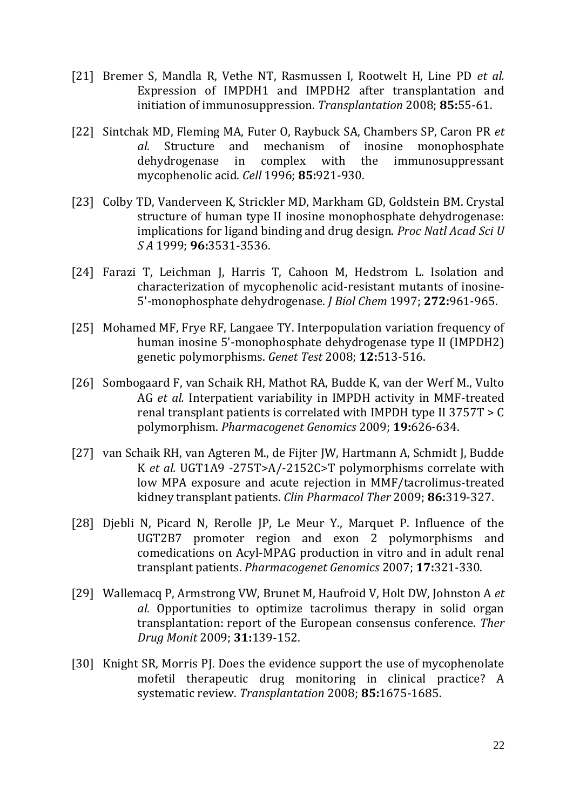- [21] Bremer S, Mandla R, Vethe NT, Rasmussen I, Rootwelt H, Line PD *et al.* Expression of IMPDH1 and IMPDH2 after transplantation and initiation of immunosuppression. *Transplantation* 2008; **85:**55-61.
- [22] Sintchak MD, Fleming MA, Futer O, Raybuck SA, Chambers SP, Caron PR *et al.* Structure and mechanism of inosine monophosphate dehydrogenase in complex with the immunosuppressant mycophenolic acid. *Cell* 1996; **85:**921-930.
- [23] Colby TD, Vanderveen K, Strickler MD, Markham GD, Goldstein BM. Crystal structure of human type II inosine monophosphate dehydrogenase: implications for ligand binding and drug design. *Proc Natl Acad Sci U S A* 1999; **96:**3531-3536.
- [24] Farazi T, Leichman J, Harris T, Cahoon M, Hedstrom L. Isolation and characterization of mycophenolic acid-resistant mutants of inosine-5'-monophosphate dehydrogenase. *J Biol Chem* 1997; **272:**961-965.
- [25] Mohamed MF, Frye RF, Langaee TY. Interpopulation variation frequency of human inosine 5'-monophosphate dehydrogenase type II (IMPDH2) genetic polymorphisms. *Genet Test* 2008; **12:**513-516.
- [26] Sombogaard F, van Schaik RH, Mathot RA, Budde K, van der Werf M., Vulto AG *et al.* Interpatient variability in IMPDH activity in MMF-treated renal transplant patients is correlated with IMPDH type II 3757T > C polymorphism. *Pharmacogenet Genomics* 2009; **19:**626-634.
- [27] van Schaik RH, van Agteren M., de Fijter JW, Hartmann A, Schmidt J, Budde K *et al.* UGT1A9 -275T>A/-2152C>T polymorphisms correlate with low MPA exposure and acute rejection in MMF/tacrolimus-treated kidney transplant patients. *Clin Pharmacol Ther* 2009; **86:**319-327.
- [28] Djebli N, Picard N, Rerolle JP, Le Meur Y., Marquet P. Influence of the UGT2B7 promoter region and exon 2 polymorphisms and comedications on Acyl-MPAG production in vitro and in adult renal transplant patients. *Pharmacogenet Genomics* 2007; **17:**321-330.
- [29] Wallemacq P, Armstrong VW, Brunet M, Haufroid V, Holt DW, Johnston A *et al.* Opportunities to optimize tacrolimus therapy in solid organ transplantation: report of the European consensus conference. *Ther Drug Monit* 2009; **31:**139-152.
- [30] Knight SR, Morris PJ. Does the evidence support the use of mycophenolate mofetil therapeutic drug monitoring in clinical practice? A systematic review. *Transplantation* 2008; **85:**1675-1685.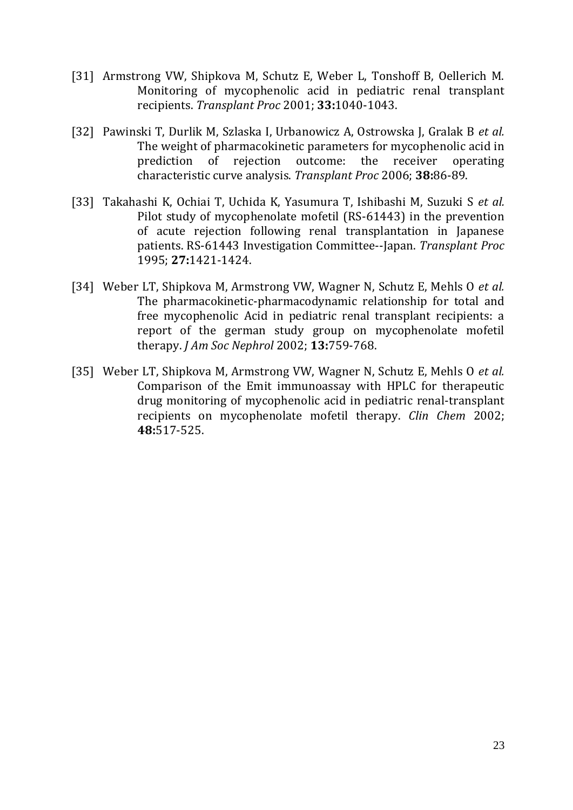- [31] Armstrong VW, Shipkova M, Schutz E, Weber L, Tonshoff B, Oellerich M. Monitoring of mycophenolic acid in pediatric renal transplant recipients. *Transplant Proc* 2001; **33:**1040-1043.
- [32] Pawinski T, Durlik M, Szlaska I, Urbanowicz A, Ostrowska J, Gralak B *et al.* The weight of pharmacokinetic parameters for mycophenolic acid in prediction of rejection outcome: the receiver operating characteristic curve analysis. *Transplant Proc* 2006; **38:**86-89.
- [33] Takahashi K, Ochiai T, Uchida K, Yasumura T, Ishibashi M, Suzuki S *et al.* Pilot study of mycophenolate mofetil (RS-61443) in the prevention of acute rejection following renal transplantation in Japanese patients. RS-61443 Investigation Committee--Japan. *Transplant Proc* 1995; **27:**1421-1424.
- [34] Weber LT, Shipkova M, Armstrong VW, Wagner N, Schutz E, Mehls O *et al.* The pharmacokinetic-pharmacodynamic relationship for total and free mycophenolic Acid in pediatric renal transplant recipients: a report of the german study group on mycophenolate mofetil therapy. *J Am Soc Nephrol* 2002; **13:**759-768.
- [35] Weber LT, Shipkova M, Armstrong VW, Wagner N, Schutz E, Mehls O *et al.* Comparison of the Emit immunoassay with HPLC for therapeutic drug monitoring of mycophenolic acid in pediatric renal-transplant recipients on mycophenolate mofetil therapy. *Clin Chem* 2002; **48:**517-525.